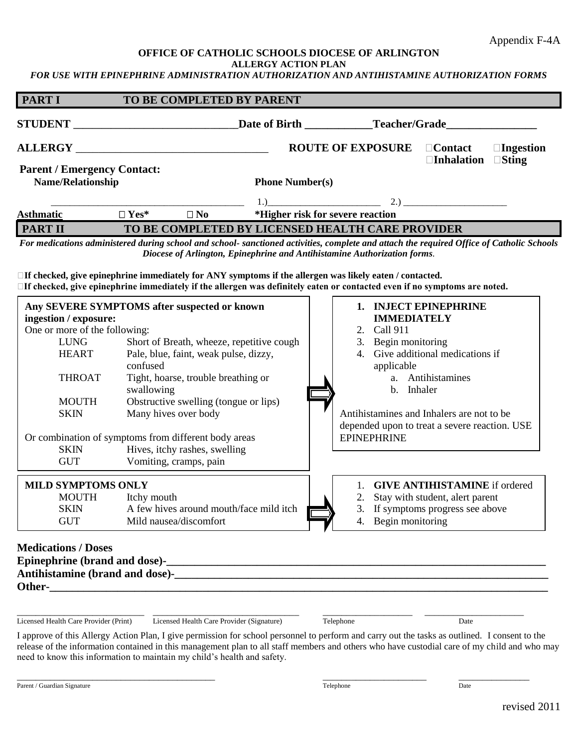## **OFFICE OF CATHOLIC SCHOOLS DIOCESE OF ARLINGTON**

**ALLERGY ACTION PLAN**

*FOR USE WITH EPINEPHRINE ADMINISTRATION AUTHORIZATION AND ANTIHISTAMINE AUTHORIZATION FORMS*

| <b>PART I</b>                                                                                                                                                      | TO BE COMPLETED BY PARENT                                                                                                                                                                                                                                                                                                                  |                                                                          |                                                                        |                                                                                                                                                                                                                                                                                                        |
|--------------------------------------------------------------------------------------------------------------------------------------------------------------------|--------------------------------------------------------------------------------------------------------------------------------------------------------------------------------------------------------------------------------------------------------------------------------------------------------------------------------------------|--------------------------------------------------------------------------|------------------------------------------------------------------------|--------------------------------------------------------------------------------------------------------------------------------------------------------------------------------------------------------------------------------------------------------------------------------------------------------|
| <b>STUDENT</b>                                                                                                                                                     | ____________________________________Date of Birth _______________Teacher/Grade_                                                                                                                                                                                                                                                            |                                                                          |                                                                        |                                                                                                                                                                                                                                                                                                        |
|                                                                                                                                                                    |                                                                                                                                                                                                                                                                                                                                            |                                                                          | <b>ROUTE OF EXPOSURE</b>                                               | □Ingestion<br>$\Box$ Contact<br><b>□Inhalation</b><br>$\square$ Sting                                                                                                                                                                                                                                  |
| <b>Parent / Emergency Contact:</b><br><b>Name/Relationship</b>                                                                                                     |                                                                                                                                                                                                                                                                                                                                            | <b>Phone Number(s)</b>                                                   |                                                                        |                                                                                                                                                                                                                                                                                                        |
| <b>Asthmatic</b>                                                                                                                                                   | $\Box$ Yes*<br>$\square$ No                                                                                                                                                                                                                                                                                                                |                                                                          | *Higher risk for severe reaction                                       | 1.) 2.) 2.1                                                                                                                                                                                                                                                                                            |
| <b>PART II</b>                                                                                                                                                     |                                                                                                                                                                                                                                                                                                                                            | TO BE COMPLETED BY LICENSED HEALTH CARE PROVIDER                         |                                                                        |                                                                                                                                                                                                                                                                                                        |
|                                                                                                                                                                    | $\Box$ If checked, give epinephrine immediately for ANY symptoms if the allergen was likely eaten / contacted.<br>□If checked, give epinephrine immediately if the allergen was definitely eaten or contacted even if no symptoms are noted.                                                                                               | Diocese of Arlington, Epinephrine and Antihistamine Authorization forms. |                                                                        | For medications administered during school and school- sanctioned activities, complete and attach the required Office of Catholic Schools                                                                                                                                                              |
| ingestion / exposure:<br>One or more of the following:<br><b>LUNG</b><br><b>HEART</b><br><b>THROAT</b><br><b>MOUTH</b><br><b>SKIN</b><br><b>SKIN</b><br><b>GUT</b> | Any SEVERE SYMPTOMS after suspected or known<br>Pale, blue, faint, weak pulse, dizzy,<br>confused<br>Tight, hoarse, trouble breathing or<br>swallowing<br>Obstructive swelling (tongue or lips)<br>Many hives over body<br>Or combination of symptoms from different body areas<br>Hives, itchy rashes, swelling<br>Vomiting, cramps, pain | Short of Breath, wheeze, repetitive cough                                | 2. Call 911<br>3. Begin monitoring<br>applicable<br><b>EPINEPHRINE</b> | 1. INJECT EPINEPHRINE<br><b>IMMEDIATELY</b><br>4. Give additional medications if<br>a. Antihistamines<br>b. Inhaler<br>Antihistamines and Inhalers are not to be<br>depended upon to treat a severe reaction. USE                                                                                      |
| <b>MILD SYMPTOMS ONLY</b><br><b>MOUTH</b><br><b>SKIN</b><br><b>GUT</b>                                                                                             | Itchy mouth<br>A few hives around mouth/face mild itch<br>Mild nausea/discomfort                                                                                                                                                                                                                                                           |                                                                          | 1.<br>2.<br>4. Begin monitoring                                        | <b>GIVE ANTIHISTAMINE</b> if ordered<br>Stay with student, alert parent<br>3. If symptoms progress see above                                                                                                                                                                                           |
| <b>Medications / Doses</b><br>Licensed Health Care Provider (Print)                                                                                                | need to know this information to maintain my child's health and safety.                                                                                                                                                                                                                                                                    | Licensed Health Care Provider (Signature)                                | Telephone                                                              | Date<br>I approve of this Allergy Action Plan, I give permission for school personnel to perform and carry out the tasks as outlined. I consent to the<br>release of the information contained in this management plan to all staff members and others who have custodial care of my child and who may |

| __________<br>______________<br>_____<br>Parent<br>Signature<br>raia | ______________<br>_______<br>_____<br>______<br>±elephone | _____<br>_______<br>_________<br>$\Delta$ Date |
|----------------------------------------------------------------------|-----------------------------------------------------------|------------------------------------------------|